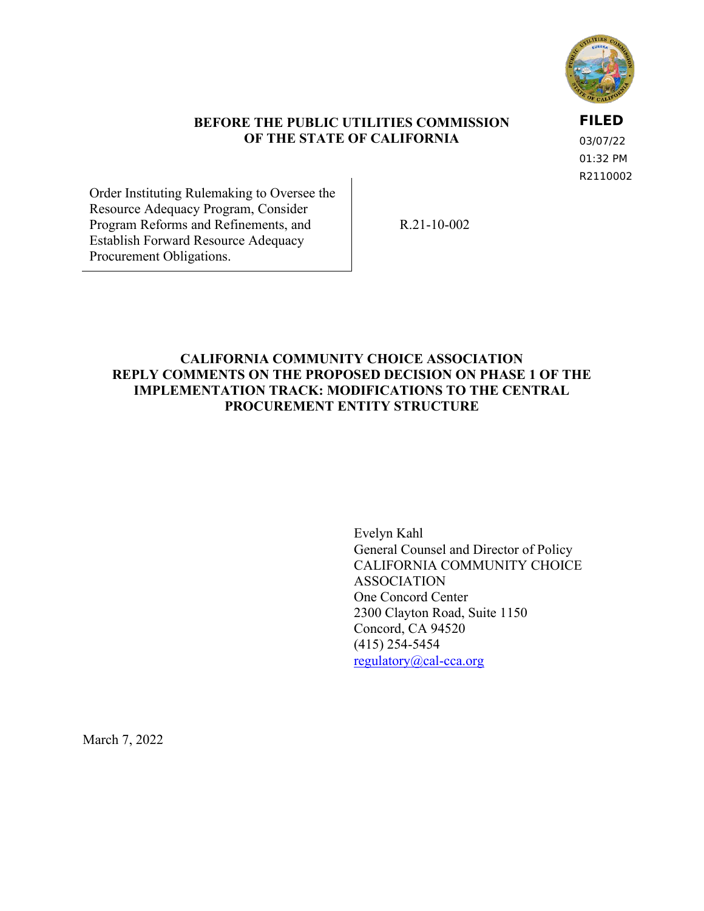

#### **BEFORE THE PUBLIC UTILITIES COMMISSION OF THE STATE OF CALIFORNIA**

**FILED**

03/07/22 01:32 PM R2110002

Order Instituting Rulemaking to Oversee the Resource Adequacy Program, Consider Program Reforms and Refinements, and Establish Forward Resource Adequacy Procurement Obligations.

R.21-10-002

## **CALIFORNIA COMMUNITY CHOICE ASSOCIATION REPLY COMMENTS ON THE PROPOSED DECISION ON PHASE 1 OF THE IMPLEMENTATION TRACK: MODIFICATIONS TO THE CENTRAL PROCUREMENT ENTITY STRUCTURE**

Evelyn Kahl General Counsel and Director of Policy CALIFORNIA COMMUNITY CHOICE ASSOCIATION One Concord Center 2300 Clayton Road, Suite 1150 Concord, CA 94520 (415) 254-5454 [regulatory@cal-cca.org](mailto:regulatory@cal-cca.org)

March 7, 2022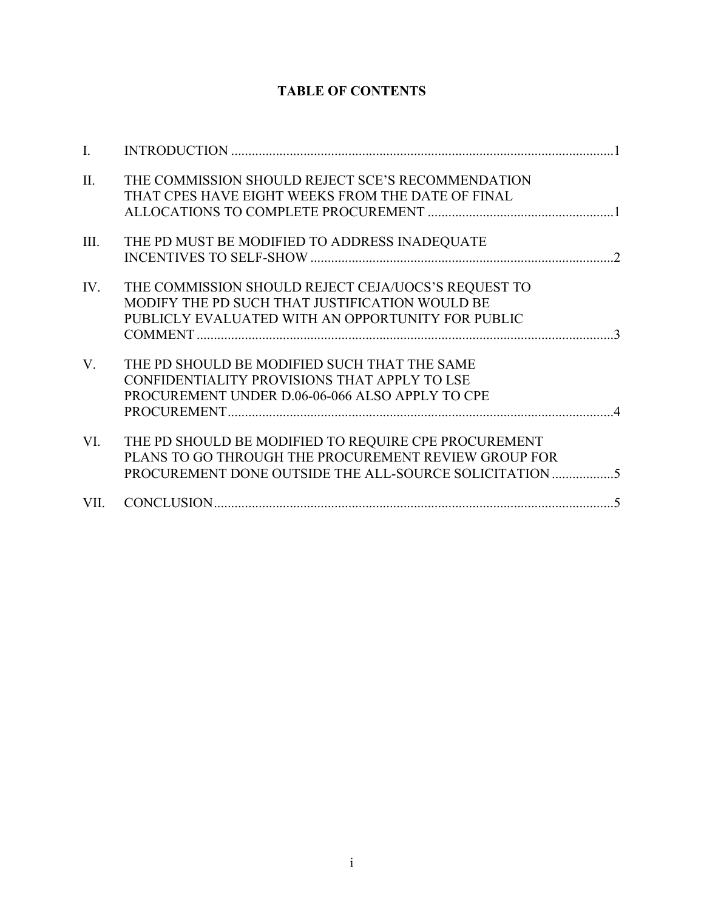# **TABLE OF CONTENTS**

| $\mathbf{I}$ . |                                                                                                                                                                      |
|----------------|----------------------------------------------------------------------------------------------------------------------------------------------------------------------|
| II.            | THE COMMISSION SHOULD REJECT SCE'S RECOMMENDATION<br>THAT CPES HAVE EIGHT WEEKS FROM THE DATE OF FINAL                                                               |
| III.           | THE PD MUST BE MODIFIED TO ADDRESS INADEQUATE                                                                                                                        |
| IV.            | THE COMMISSION SHOULD REJECT CEJA/UOCS'S REQUEST TO<br>MODIFY THE PD SUCH THAT JUSTIFICATION WOULD BE<br>PUBLICLY EVALUATED WITH AN OPPORTUNITY FOR PUBLIC           |
| $V_{\cdot}$    | THE PD SHOULD BE MODIFIED SUCH THAT THE SAME<br>CONFIDENTIALITY PROVISIONS THAT APPLY TO LSE<br>PROCUREMENT UNDER D.06-06-066 ALSO APPLY TO CPE                      |
| VI.            | THE PD SHOULD BE MODIFIED TO REQUIRE CPE PROCUREMENT<br>PLANS TO GO THROUGH THE PROCUREMENT REVIEW GROUP FOR<br>PROCUREMENT DONE OUTSIDE THE ALL-SOURCE SOLICITATION |
|                |                                                                                                                                                                      |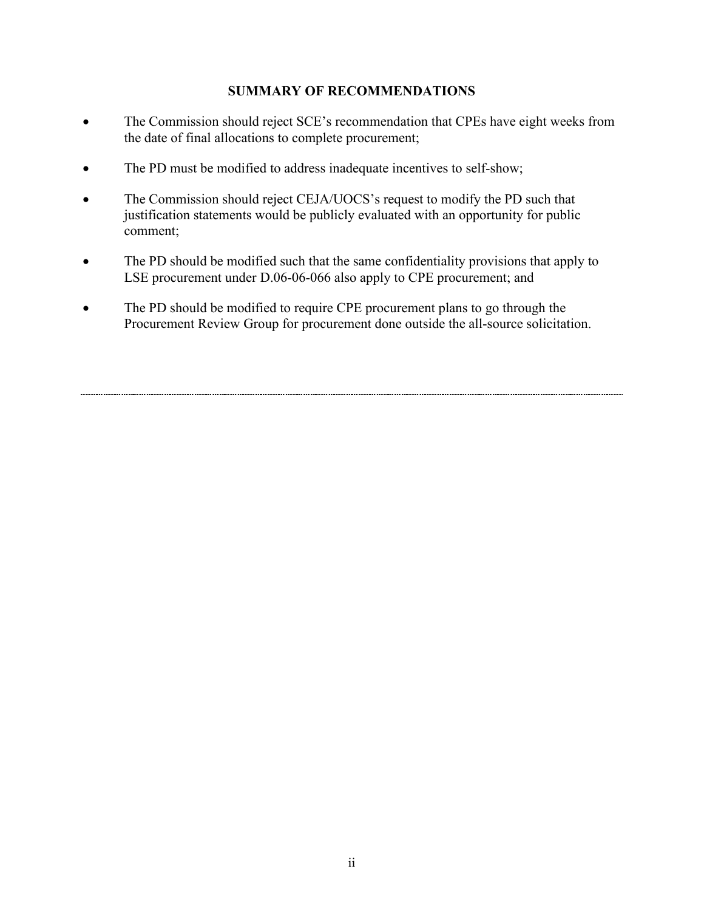### **SUMMARY OF RECOMMENDATIONS**

- The Commission should reject SCE's recommendation that CPEs have eight weeks from the date of final allocations to complete procurement;
- The PD must be modified to address inadequate incentives to self-show;
- The Commission should reject CEJA/UOCS's request to modify the PD such that justification statements would be publicly evaluated with an opportunity for public comment;
- The PD should be modified such that the same confidentiality provisions that apply to LSE procurement under D.06-06-066 also apply to CPE procurement; and
- The PD should be modified to require CPE procurement plans to go through the Procurement Review Group for procurement done outside the all-source solicitation.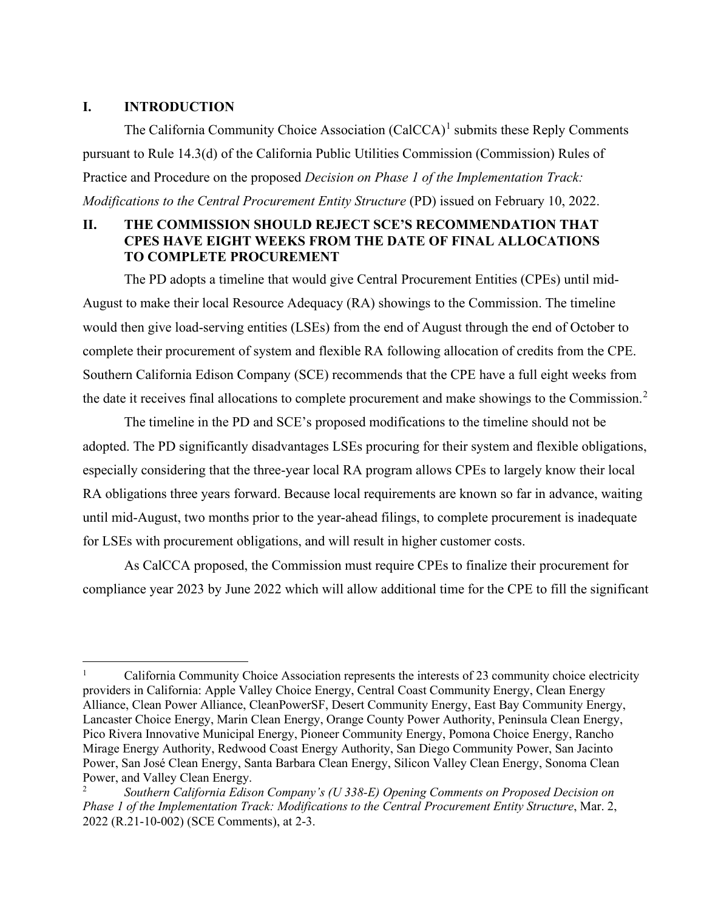#### <span id="page-3-0"></span>**I. INTRODUCTION**

The California Community Choice Association (CalCCA)<sup>[1](#page-3-2)</sup> submits these Reply Comments pursuant to Rule 14.3(d) of the California Public Utilities Commission (Commission) Rules of Practice and Procedure on the proposed *Decision on Phase 1 of the Implementation Track: Modifications to the Central Procurement Entity Structure* (PD) issued on February 10, 2022.

# <span id="page-3-1"></span>**II. THE COMMISSION SHOULD REJECT SCE'S RECOMMENDATION THAT CPES HAVE EIGHT WEEKS FROM THE DATE OF FINAL ALLOCATIONS TO COMPLETE PROCUREMENT**

The PD adopts a timeline that would give Central Procurement Entities (CPEs) until mid-August to make their local Resource Adequacy (RA) showings to the Commission. The timeline would then give load-serving entities (LSEs) from the end of August through the end of October to complete their procurement of system and flexible RA following allocation of credits from the CPE. Southern California Edison Company (SCE) recommends that the CPE have a full eight weeks from the date it receives final allocations to complete procurement and make showings to the Commission.<sup>[2](#page-3-3)</sup>

The timeline in the PD and SCE's proposed modifications to the timeline should not be adopted. The PD significantly disadvantages LSEs procuring for their system and flexible obligations, especially considering that the three-year local RA program allows CPEs to largely know their local RA obligations three years forward. Because local requirements are known so far in advance, waiting until mid-August, two months prior to the year-ahead filings, to complete procurement is inadequate for LSEs with procurement obligations, and will result in higher customer costs.

As CalCCA proposed, the Commission must require CPEs to finalize their procurement for compliance year 2023 by June 2022 which will allow additional time for the CPE to fill the significant

<span id="page-3-2"></span><sup>1</sup> California Community Choice Association represents the interests of 23 community choice electricity providers in California: Apple Valley Choice Energy, Central Coast Community Energy, Clean Energy Alliance, Clean Power Alliance, CleanPowerSF, Desert Community Energy, East Bay Community Energy, Lancaster Choice Energy, Marin Clean Energy, Orange County Power Authority, Peninsula Clean Energy, Pico Rivera Innovative Municipal Energy, Pioneer Community Energy, Pomona Choice Energy, Rancho Mirage Energy Authority, Redwood Coast Energy Authority, San Diego Community Power, San Jacinto Power, San José Clean Energy, Santa Barbara Clean Energy, Silicon Valley Clean Energy, Sonoma Clean Power, and Valley Clean Energy.

<span id="page-3-3"></span><sup>2</sup> *Southern California Edison Company's (U 338-E) Opening Comments on Proposed Decision on Phase 1 of the Implementation Track: Modifications to the Central Procurement Entity Structure*, Mar. 2, 2022 (R.21-10-002) (SCE Comments), at 2-3.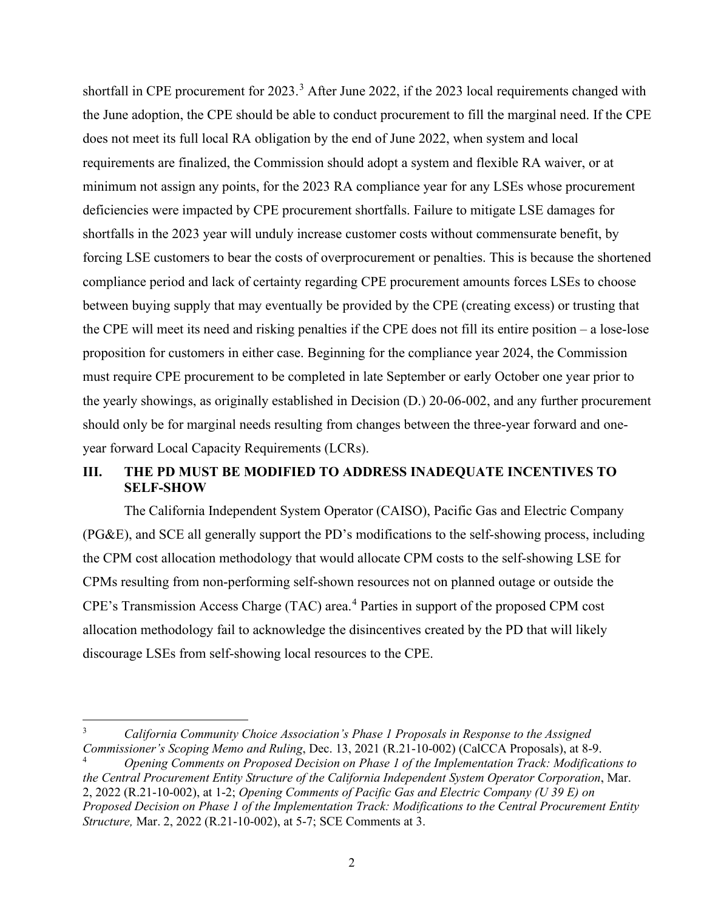shortfall in CPE procurement for 202[3](#page-4-1).<sup>3</sup> After June 2022, if the 2023 local requirements changed with the June adoption, the CPE should be able to conduct procurement to fill the marginal need. If the CPE does not meet its full local RA obligation by the end of June 2022, when system and local requirements are finalized, the Commission should adopt a system and flexible RA waiver, or at minimum not assign any points, for the 2023 RA compliance year for any LSEs whose procurement deficiencies were impacted by CPE procurement shortfalls. Failure to mitigate LSE damages for shortfalls in the 2023 year will unduly increase customer costs without commensurate benefit, by forcing LSE customers to bear the costs of overprocurement or penalties. This is because the shortened compliance period and lack of certainty regarding CPE procurement amounts forces LSEs to choose between buying supply that may eventually be provided by the CPE (creating excess) or trusting that the CPE will meet its need and risking penalties if the CPE does not fill its entire position – a lose-lose proposition for customers in either case. Beginning for the compliance year 2024, the Commission must require CPE procurement to be completed in late September or early October one year prior to the yearly showings, as originally established in Decision (D.) 20-06-002, and any further procurement should only be for marginal needs resulting from changes between the three-year forward and oneyear forward Local Capacity Requirements (LCRs).

# <span id="page-4-0"></span>**III. THE PD MUST BE MODIFIED TO ADDRESS INADEQUATE INCENTIVES TO SELF-SHOW**

The California Independent System Operator (CAISO), Pacific Gas and Electric Company (PG&E), and SCE all generally support the PD's modifications to the self-showing process, including the CPM cost allocation methodology that would allocate CPM costs to the self-showing LSE for CPMs resulting from non-performing self-shown resources not on planned outage or outside the CPE's Transmission Access Charge (TAC) area. [4](#page-4-2) Parties in support of the proposed CPM cost allocation methodology fail to acknowledge the disincentives created by the PD that will likely discourage LSEs from self-showing local resources to the CPE.

<span id="page-4-1"></span><sup>3</sup> *California Community Choice Association's Phase 1 Proposals in Response to the Assigned Commissioner's Scoping Memo and Ruling*, Dec. 13, 2021 (R.21-10-002) (CalCCA Proposals), at 8-9.

<span id="page-4-2"></span><sup>4</sup> *Opening Comments on Proposed Decision on Phase 1 of the Implementation Track: Modifications to the Central Procurement Entity Structure of the California Independent System Operator Corporation*, Mar. 2, 2022 (R.21-10-002), at 1-2; *Opening Comments of Pacific Gas and Electric Company (U 39 E) on Proposed Decision on Phase 1 of the Implementation Track: Modifications to the Central Procurement Entity Structure,* Mar. 2, 2022 (R.21-10-002), at 5-7; SCE Comments at 3.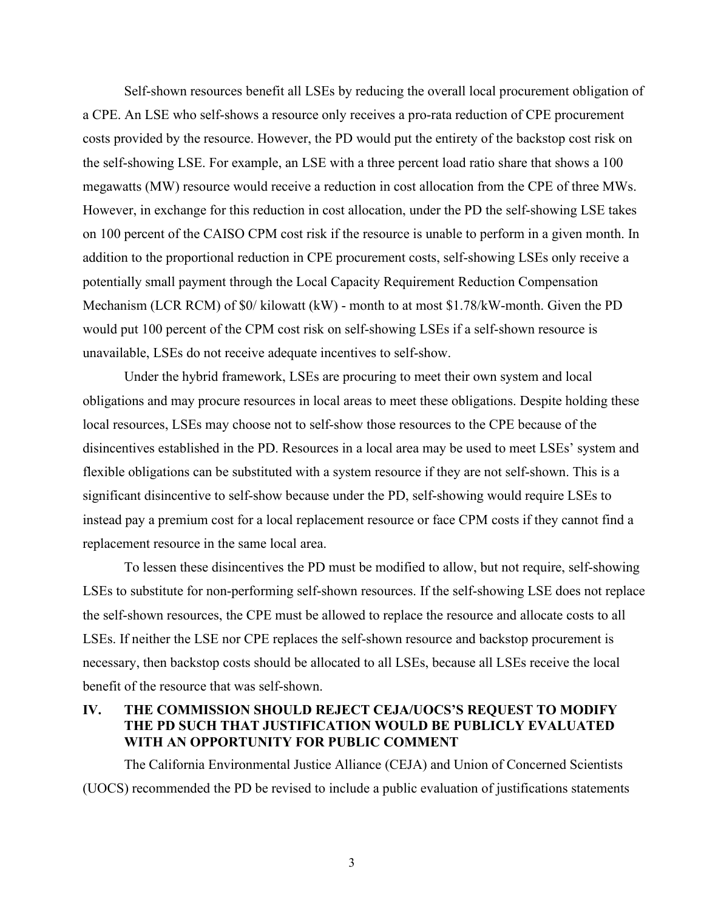Self-shown resources benefit all LSEs by reducing the overall local procurement obligation of a CPE. An LSE who self-shows a resource only receives a pro-rata reduction of CPE procurement costs provided by the resource. However, the PD would put the entirety of the backstop cost risk on the self-showing LSE. For example, an LSE with a three percent load ratio share that shows a 100 megawatts (MW) resource would receive a reduction in cost allocation from the CPE of three MWs. However, in exchange for this reduction in cost allocation, under the PD the self-showing LSE takes on 100 percent of the CAISO CPM cost risk if the resource is unable to perform in a given month. In addition to the proportional reduction in CPE procurement costs, self-showing LSEs only receive a potentially small payment through the Local Capacity Requirement Reduction Compensation Mechanism (LCR RCM) of \$0/ kilowatt (kW) - month to at most \$1.78/kW-month. Given the PD would put 100 percent of the CPM cost risk on self-showing LSEs if a self-shown resource is unavailable, LSEs do not receive adequate incentives to self-show.

Under the hybrid framework, LSEs are procuring to meet their own system and local obligations and may procure resources in local areas to meet these obligations. Despite holding these local resources, LSEs may choose not to self-show those resources to the CPE because of the disincentives established in the PD. Resources in a local area may be used to meet LSEs' system and flexible obligations can be substituted with a system resource if they are not self-shown. This is a significant disincentive to self-show because under the PD, self-showing would require LSEs to instead pay a premium cost for a local replacement resource or face CPM costs if they cannot find a replacement resource in the same local area.

To lessen these disincentives the PD must be modified to allow, but not require, self-showing LSEs to substitute for non-performing self-shown resources. If the self-showing LSE does not replace the self-shown resources, the CPE must be allowed to replace the resource and allocate costs to all LSEs. If neither the LSE nor CPE replaces the self-shown resource and backstop procurement is necessary, then backstop costs should be allocated to all LSEs, because all LSEs receive the local benefit of the resource that was self-shown.

## <span id="page-5-0"></span>**IV. THE COMMISSION SHOULD REJECT CEJA/UOCS'S REQUEST TO MODIFY THE PD SUCH THAT JUSTIFICATION WOULD BE PUBLICLY EVALUATED WITH AN OPPORTUNITY FOR PUBLIC COMMENT**

The California Environmental Justice Alliance (CEJA) and Union of Concerned Scientists (UOCS) recommended the PD be revised to include a public evaluation of justifications statements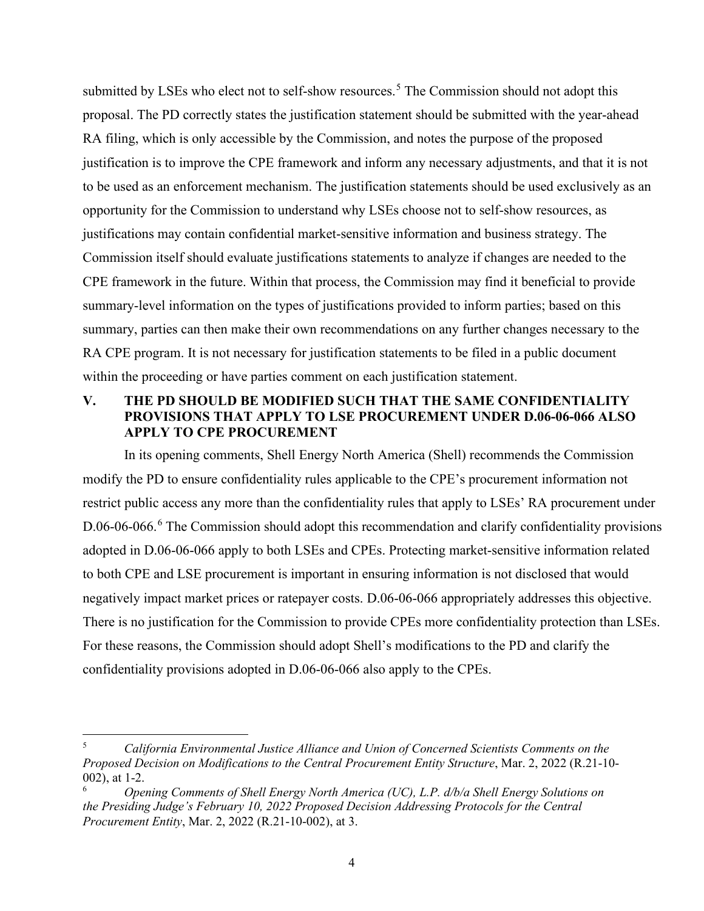submitted by LSEs who elect not to self-show resources.<sup>[5](#page-6-1)</sup> The Commission should not adopt this proposal. The PD correctly states the justification statement should be submitted with the year-ahead RA filing, which is only accessible by the Commission, and notes the purpose of the proposed justification is to improve the CPE framework and inform any necessary adjustments, and that it is not to be used as an enforcement mechanism. The justification statements should be used exclusively as an opportunity for the Commission to understand why LSEs choose not to self-show resources, as justifications may contain confidential market-sensitive information and business strategy. The Commission itself should evaluate justifications statements to analyze if changes are needed to the CPE framework in the future. Within that process, the Commission may find it beneficial to provide summary-level information on the types of justifications provided to inform parties; based on this summary, parties can then make their own recommendations on any further changes necessary to the RA CPE program. It is not necessary for justification statements to be filed in a public document within the proceeding or have parties comment on each justification statement.

### <span id="page-6-0"></span>**V. THE PD SHOULD BE MODIFIED SUCH THAT THE SAME CONFIDENTIALITY PROVISIONS THAT APPLY TO LSE PROCUREMENT UNDER D.06-06-066 ALSO APPLY TO CPE PROCUREMENT**

In its opening comments, Shell Energy North America (Shell) recommends the Commission modify the PD to ensure confidentiality rules applicable to the CPE's procurement information not restrict public access any more than the confidentiality rules that apply to LSEs' RA procurement under D.0[6](#page-6-2)-06-066.<sup>6</sup> The Commission should adopt this recommendation and clarify confidentiality provisions adopted in D.06-06-066 apply to both LSEs and CPEs. Protecting market-sensitive information related to both CPE and LSE procurement is important in ensuring information is not disclosed that would negatively impact market prices or ratepayer costs. D.06-06-066 appropriately addresses this objective. There is no justification for the Commission to provide CPEs more confidentiality protection than LSEs. For these reasons, the Commission should adopt Shell's modifications to the PD and clarify the confidentiality provisions adopted in D.06-06-066 also apply to the CPEs.

<span id="page-6-1"></span><sup>5</sup> *California Environmental Justice Alliance and Union of Concerned Scientists Comments on the Proposed Decision on Modifications to the Central Procurement Entity Structure*, Mar. 2, 2022 (R.21-10- 002), at 1-2.

<span id="page-6-2"></span><sup>6</sup> *Opening Comments of Shell Energy North America (UC), L.P. d/b/a Shell Energy Solutions on the Presiding Judge's February 10, 2022 Proposed Decision Addressing Protocols for the Central Procurement Entity*, Mar. 2, 2022 (R.21-10-002), at 3.